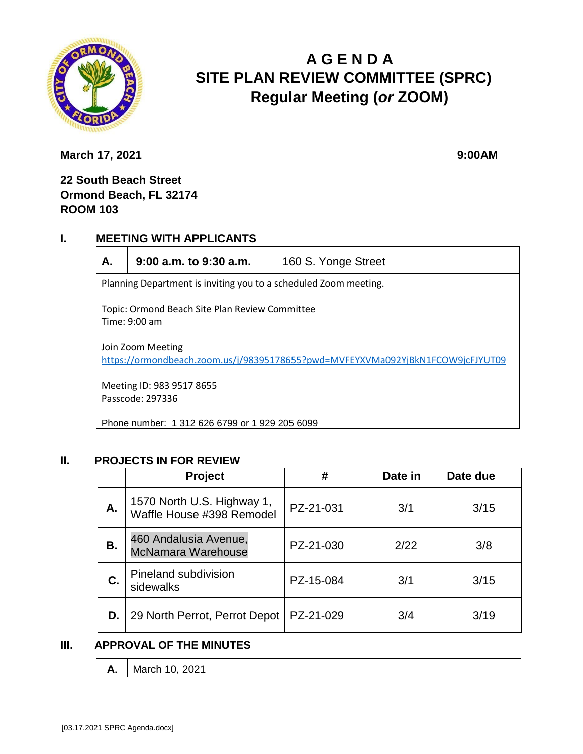

# **A G E N D A SITE PLAN REVIEW COMMITTEE (SPRC) Regular Meeting (***or* **ZOOM)**

**March 17, 2021** 9:00AM

## **22 South Beach Street Ormond Beach, FL 32174 ROOM 103**

#### **I. MEETING WITH APPLICANTS**

**A. 9:00 a.m. to 9:30 a.m.** 160 S. Yonge Street

Planning Department is inviting you to a scheduled Zoom meeting.

Topic: Ormond Beach Site Plan Review Committee Time: 9:00 am

Join Zoom Meeting <https://ormondbeach.zoom.us/j/98395178655?pwd=MVFEYXVMa092YjBkN1FCOW9jcFJYUT09>

Meeting ID: 983 9517 8655 Passcode: 297336

Phone number: 1 312 626 6799 or 1 929 205 6099

### **II. PROJECTS IN FOR REVIEW**

|    | <b>Project</b>                                          | #         | Date in | Date due |
|----|---------------------------------------------------------|-----------|---------|----------|
| Α. | 1570 North U.S. Highway 1,<br>Waffle House #398 Remodel | PZ-21-031 | 3/1     | 3/15     |
| В. | 460 Andalusia Avenue,<br><b>McNamara Warehouse</b>      | PZ-21-030 | 2/22    | 3/8      |
| C. | Pineland subdivision<br>sidewalks                       | PZ-15-084 | 3/1     | 3/15     |
| D. | 29 North Perrot, Perrot Depot                           | PZ-21-029 | 3/4     | 3/19     |

### **III. APPROVAL OF THE MINUTES**

**A.** | March 10, 2021